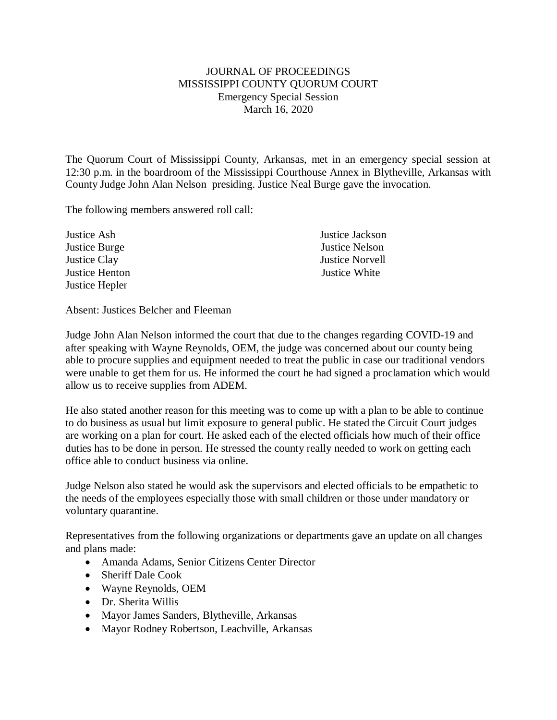## JOURNAL OF PROCEEDINGS MISSISSIPPI COUNTY QUORUM COURT Emergency Special Session March 16, 2020

The Quorum Court of Mississippi County, Arkansas, met in an emergency special session at 12:30 p.m. in the boardroom of the Mississippi Courthouse Annex in Blytheville, Arkansas with County Judge John Alan Nelson presiding. Justice Neal Burge gave the invocation.

The following members answered roll call:

| Justice Ash    | Justice Jackson        |
|----------------|------------------------|
| Justice Burge  | Justice Nelson         |
| Justice Clay   | <b>Justice Norvell</b> |
| Justice Henton | Justice White          |
| Justice Hepler |                        |

Absent: Justices Belcher and Fleeman

Judge John Alan Nelson informed the court that due to the changes regarding COVID-19 and after speaking with Wayne Reynolds, OEM, the judge was concerned about our county being able to procure supplies and equipment needed to treat the public in case our traditional vendors were unable to get them for us. He informed the court he had signed a proclamation which would allow us to receive supplies from ADEM.

He also stated another reason for this meeting was to come up with a plan to be able to continue to do business as usual but limit exposure to general public. He stated the Circuit Court judges are working on a plan for court. He asked each of the elected officials how much of their office duties has to be done in person. He stressed the county really needed to work on getting each office able to conduct business via online.

Judge Nelson also stated he would ask the supervisors and elected officials to be empathetic to the needs of the employees especially those with small children or those under mandatory or voluntary quarantine.

Representatives from the following organizations or departments gave an update on all changes and plans made:

- Amanda Adams, Senior Citizens Center Director
- Sheriff Dale Cook
- Wayne Reynolds, OEM
- Dr. Sherita Willis
- Mayor James Sanders, Blytheville, Arkansas
- Mayor Rodney Robertson, Leachville, Arkansas